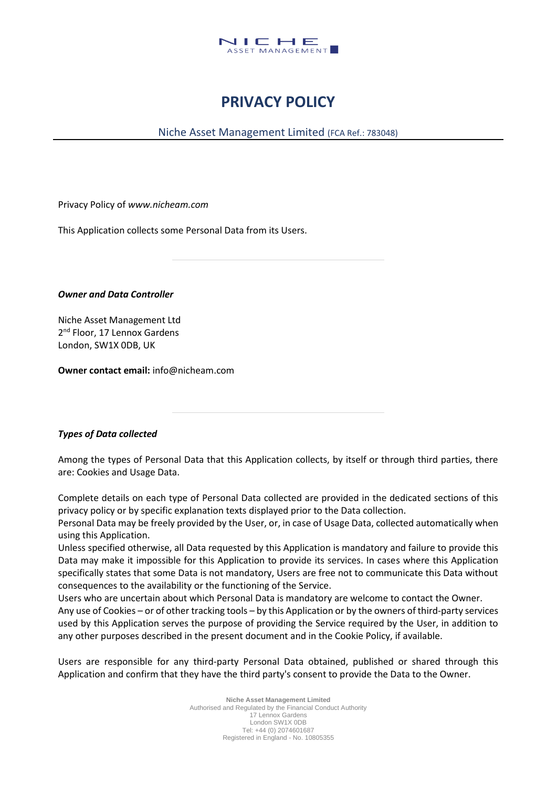

# **PRIVACY POLICY**

Niche Asset Management Limited (FCA Ref.: 783048)

Privacy Policy of *www.nicheam.com*

This Application collects some Personal Data from its Users.

*Owner and Data Controller*

Niche Asset Management Ltd 2<sup>nd</sup> Floor, 17 Lennox Gardens London, SW1X 0DB, UK

**Owner contact email:** info@nicheam.com

# *Types of Data collected*

Among the types of Personal Data that this Application collects, by itself or through third parties, there are: Cookies and Usage Data.

Complete details on each type of Personal Data collected are provided in the dedicated sections of this privacy policy or by specific explanation texts displayed prior to the Data collection.

Personal Data may be freely provided by the User, or, in case of Usage Data, collected automatically when using this Application.

Unless specified otherwise, all Data requested by this Application is mandatory and failure to provide this Data may make it impossible for this Application to provide its services. In cases where this Application specifically states that some Data is not mandatory, Users are free not to communicate this Data without consequences to the availability or the functioning of the Service.

Users who are uncertain about which Personal Data is mandatory are welcome to contact the Owner. Any use of Cookies – or of other tracking tools – by this Application or by the owners of third-party services used by this Application serves the purpose of providing the Service required by the User, in addition to

any other purposes described in the present document and in the Cookie Policy, if available.

Users are responsible for any third-party Personal Data obtained, published or shared through this Application and confirm that they have the third party's consent to provide the Data to the Owner.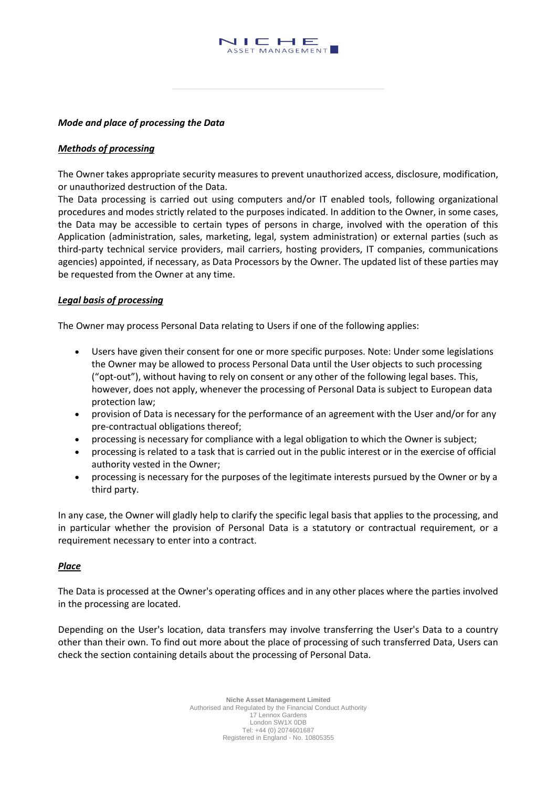

#### *Mode and place of processing the Data*

#### *Methods of processing*

The Owner takes appropriate security measures to prevent unauthorized access, disclosure, modification, or unauthorized destruction of the Data.

The Data processing is carried out using computers and/or IT enabled tools, following organizational procedures and modes strictly related to the purposes indicated. In addition to the Owner, in some cases, the Data may be accessible to certain types of persons in charge, involved with the operation of this Application (administration, sales, marketing, legal, system administration) or external parties (such as third-party technical service providers, mail carriers, hosting providers, IT companies, communications agencies) appointed, if necessary, as Data Processors by the Owner. The updated list of these parties may be requested from the Owner at any time.

#### *Legal basis of processing*

The Owner may process Personal Data relating to Users if one of the following applies:

- Users have given their consent for one or more specific purposes. Note: Under some legislations the Owner may be allowed to process Personal Data until the User objects to such processing ("opt-out"), without having to rely on consent or any other of the following legal bases. This, however, does not apply, whenever the processing of Personal Data is subject to European data protection law;
- provision of Data is necessary for the performance of an agreement with the User and/or for any pre-contractual obligations thereof;
- processing is necessary for compliance with a legal obligation to which the Owner is subject;
- processing is related to a task that is carried out in the public interest or in the exercise of official authority vested in the Owner;
- processing is necessary for the purposes of the legitimate interests pursued by the Owner or by a third party.

In any case, the Owner will gladly help to clarify the specific legal basis that applies to the processing, and in particular whether the provision of Personal Data is a statutory or contractual requirement, or a requirement necessary to enter into a contract.

## *Place*

The Data is processed at the Owner's operating offices and in any other places where the parties involved in the processing are located.

Depending on the User's location, data transfers may involve transferring the User's Data to a country other than their own. To find out more about the place of processing of such transferred Data, Users can check the section containing details about the processing of Personal Data.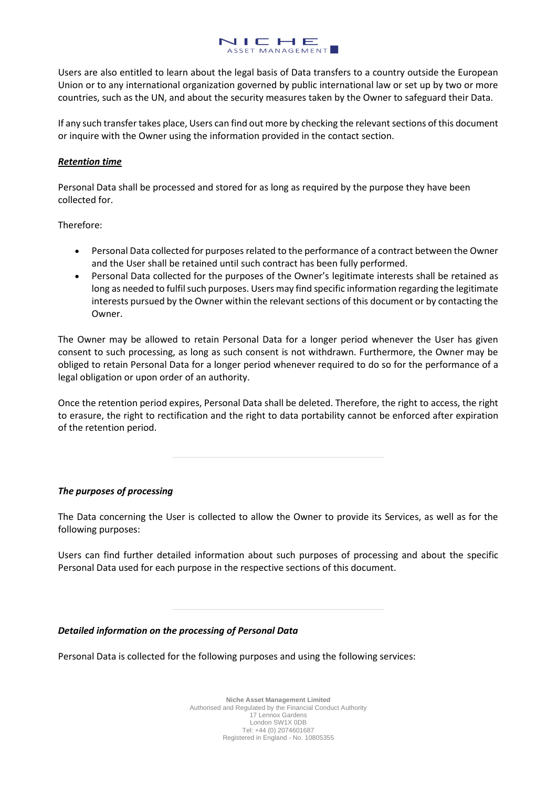

Users are also entitled to learn about the legal basis of Data transfers to a country outside the European Union or to any international organization governed by public international law or set up by two or more countries, such as the UN, and about the security measures taken by the Owner to safeguard their Data.

If any such transfer takes place, Users can find out more by checking the relevant sections of this document or inquire with the Owner using the information provided in the contact section.

# *Retention time*

Personal Data shall be processed and stored for as long as required by the purpose they have been collected for.

Therefore:

- Personal Data collected for purposes related to the performance of a contract between the Owner and the User shall be retained until such contract has been fully performed.
- Personal Data collected for the purposes of the Owner's legitimate interests shall be retained as long as needed to fulfil such purposes. Users may find specific information regarding the legitimate interests pursued by the Owner within the relevant sections of this document or by contacting the Owner.

The Owner may be allowed to retain Personal Data for a longer period whenever the User has given consent to such processing, as long as such consent is not withdrawn. Furthermore, the Owner may be obliged to retain Personal Data for a longer period whenever required to do so for the performance of a legal obligation or upon order of an authority.

Once the retention period expires, Personal Data shall be deleted. Therefore, the right to access, the right to erasure, the right to rectification and the right to data portability cannot be enforced after expiration of the retention period.

## *The purposes of processing*

The Data concerning the User is collected to allow the Owner to provide its Services, as well as for the following purposes:

Users can find further detailed information about such purposes of processing and about the specific Personal Data used for each purpose in the respective sections of this document.

## *Detailed information on the processing of Personal Data*

Personal Data is collected for the following purposes and using the following services: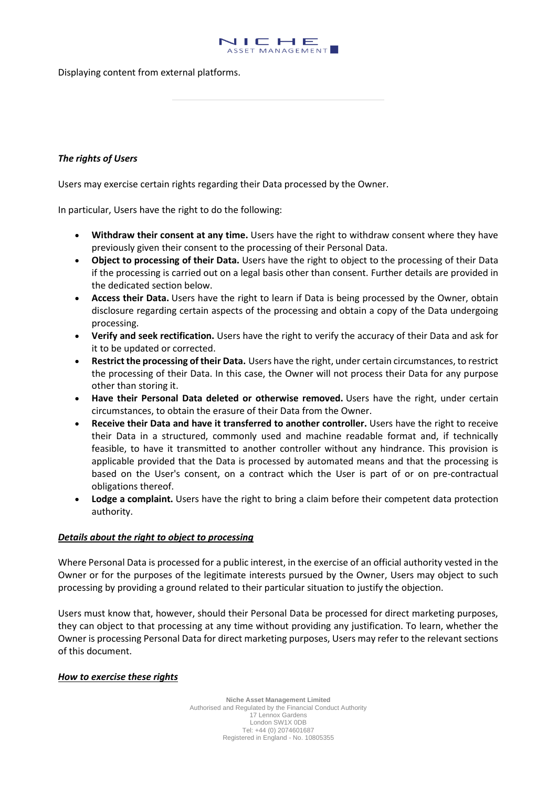

Displaying content from external platforms.

## *The rights of Users*

Users may exercise certain rights regarding their Data processed by the Owner.

In particular, Users have the right to do the following:

- **Withdraw their consent at any time.** Users have the right to withdraw consent where they have previously given their consent to the processing of their Personal Data.
- **Object to processing of their Data.** Users have the right to object to the processing of their Data if the processing is carried out on a legal basis other than consent. Further details are provided in the dedicated section below.
- **Access their Data.** Users have the right to learn if Data is being processed by the Owner, obtain disclosure regarding certain aspects of the processing and obtain a copy of the Data undergoing processing.
- **Verify and seek rectification.** Users have the right to verify the accuracy of their Data and ask for it to be updated or corrected.
- **Restrict the processing of their Data.** Users have the right, under certain circumstances, to restrict the processing of their Data. In this case, the Owner will not process their Data for any purpose other than storing it.
- **Have their Personal Data deleted or otherwise removed.** Users have the right, under certain circumstances, to obtain the erasure of their Data from the Owner.
- **Receive their Data and have it transferred to another controller.** Users have the right to receive their Data in a structured, commonly used and machine readable format and, if technically feasible, to have it transmitted to another controller without any hindrance. This provision is applicable provided that the Data is processed by automated means and that the processing is based on the User's consent, on a contract which the User is part of or on pre-contractual obligations thereof.
- **Lodge a complaint.** Users have the right to bring a claim before their competent data protection authority.

## *Details about the right to object to processing*

Where Personal Data is processed for a public interest, in the exercise of an official authority vested in the Owner or for the purposes of the legitimate interests pursued by the Owner, Users may object to such processing by providing a ground related to their particular situation to justify the objection.

Users must know that, however, should their Personal Data be processed for direct marketing purposes, they can object to that processing at any time without providing any justification. To learn, whether the Owner is processing Personal Data for direct marketing purposes, Users may refer to the relevant sections of this document.

#### *How to exercise these rights*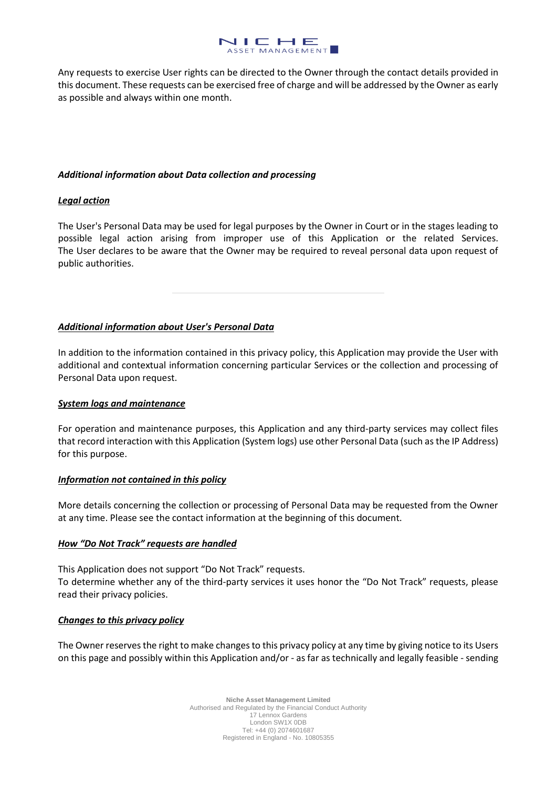

Any requests to exercise User rights can be directed to the Owner through the contact details provided in this document. These requests can be exercised free of charge and will be addressed by the Owner as early as possible and always within one month.

## *Additional information about Data collection and processing*

# *Legal action*

The User's Personal Data may be used for legal purposes by the Owner in Court or in the stages leading to possible legal action arising from improper use of this Application or the related Services. The User declares to be aware that the Owner may be required to reveal personal data upon request of public authorities.

# *Additional information about User's Personal Data*

In addition to the information contained in this privacy policy, this Application may provide the User with additional and contextual information concerning particular Services or the collection and processing of Personal Data upon request.

## *System logs and maintenance*

For operation and maintenance purposes, this Application and any third-party services may collect files that record interaction with this Application (System logs) use other Personal Data (such as the IP Address) for this purpose.

## *Information not contained in this policy*

More details concerning the collection or processing of Personal Data may be requested from the Owner at any time. Please see the contact information at the beginning of this document.

## *How "Do Not Track" requests are handled*

This Application does not support "Do Not Track" requests. To determine whether any of the third-party services it uses honor the "Do Not Track" requests, please read their privacy policies.

## *Changes to this privacy policy*

The Owner reserves the right to make changes to this privacy policy at any time by giving notice to its Users on this page and possibly within this Application and/or - as far as technically and legally feasible - sending